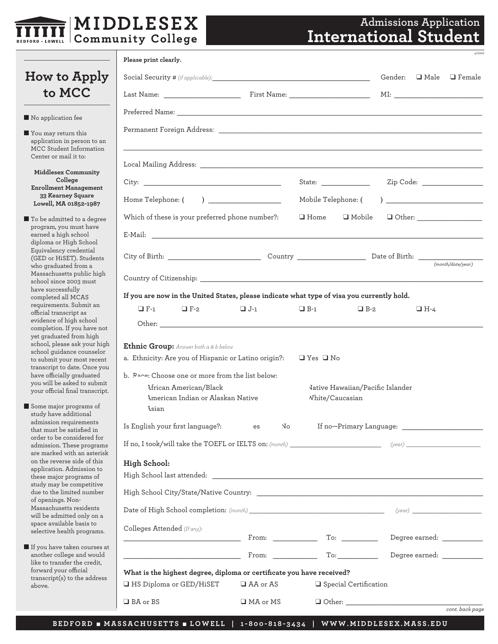

# **Admissions Application International Student**

*4/2020* 

*cont. back page* 

|                                                                                              | Please print clearly.                                                                                                                                                                                                          |            |                                                     |                                            |
|----------------------------------------------------------------------------------------------|--------------------------------------------------------------------------------------------------------------------------------------------------------------------------------------------------------------------------------|------------|-----------------------------------------------------|--------------------------------------------|
| How to Apply                                                                                 |                                                                                                                                                                                                                                |            |                                                     | Gender:<br>$\square$ Male<br>$\Box$ Female |
| to MCC                                                                                       |                                                                                                                                                                                                                                |            |                                                     |                                            |
| No application fee                                                                           |                                                                                                                                                                                                                                |            |                                                     |                                            |
| $\blacksquare$ You may return this<br>application in person to an<br>MCC Student Information |                                                                                                                                                                                                                                |            |                                                     |                                            |
| Center or mail it to:                                                                        |                                                                                                                                                                                                                                |            |                                                     |                                            |
| <b>Middlesex Community</b><br>College<br><b>Enrollment Management</b>                        |                                                                                                                                                                                                                                |            |                                                     |                                            |
| <b>33 Kearney Square</b><br>Lowell, MA 01852-1987                                            | Home Telephone: ( )                                                                                                                                                                                                            |            |                                                     |                                            |
| ■ To be admitted to a degree                                                                 | Which of these is your preferred phone number?:                                                                                                                                                                                |            | $\Box$ Mobile<br>$\Box$ Home                        |                                            |
| program, you must have<br>earned a high school<br>diploma or High School                     |                                                                                                                                                                                                                                |            |                                                     |                                            |
| Equivalency credential<br>(GED or HiSET). Students                                           |                                                                                                                                                                                                                                |            |                                                     |                                            |
| who graduated from a<br>Massachusetts public high<br>school since 2003 must                  |                                                                                                                                                                                                                                |            |                                                     | (month/date/vear)                          |
| have successfully<br>completed all MCAS                                                      | If you are now in the United States, please indicate what type of visa you currently hold.                                                                                                                                     |            |                                                     |                                            |
| requirements. Submit an<br>official transcript as                                            | $\Box$ F-1<br>$\Box$ F-2                                                                                                                                                                                                       | $\Box$ J-1 | $\Box$ B-1<br>$\Box$ B-2                            | $\Box$ H-4                                 |
| evidence of high school<br>completion. If you have not                                       |                                                                                                                                                                                                                                |            |                                                     |                                            |
| yet graduated from high<br>school, please ask your high                                      | Ethnic Group: Answer both a & b below                                                                                                                                                                                          |            |                                                     |                                            |
| school guidance counselor<br>to submit your most recent<br>transcript to date. Once you      | a. Ethnicity: Are you of Hispanic or Latino origin?:                                                                                                                                                                           |            | $\Box$ Yes $\Box$ No                                |                                            |
| have officially graduated<br>you will be asked to submit                                     | b. Pare: Choose one or more from the list below:                                                                                                                                                                               |            |                                                     |                                            |
| your official final transcript.                                                              | <b>African American/Black</b><br>American Indian or Alaskan Native                                                                                                                                                             |            | Vative Hawaiian/Pacific Islander<br>White/Caucasian |                                            |
| Some major programs of<br>study have additional                                              | Asian                                                                                                                                                                                                                          |            |                                                     |                                            |
| admission requirements<br>that must be satisfied in                                          | Is English your first language?:                                                                                                                                                                                               | No.<br>es  |                                                     |                                            |
| order to be considered for<br>admission. These programs                                      | If no, I took/will take the TOEFL or IELTS on: (month) (example of the control of the control of the control of the control of the control of the control of the control of the control of the control of the control of the c |            |                                                     |                                            |
| are marked with an asterisk<br>on the reverse side of this                                   | High School:                                                                                                                                                                                                                   |            |                                                     |                                            |
| application. Admission to<br>these major programs of                                         |                                                                                                                                                                                                                                |            |                                                     |                                            |
| study may be competitive<br>due to the limited number                                        |                                                                                                                                                                                                                                |            |                                                     |                                            |
| of openings. Non-<br>Massachusetts residents<br>will be admitted only on a                   |                                                                                                                                                                                                                                |            |                                                     |                                            |
| space available basis to<br>selective health programs.                                       | Colleges Attended (If any):                                                                                                                                                                                                    |            |                                                     |                                            |
| If you have taken courses at<br>another college and would                                    | <u> 1989 - Johann Barbara, martin amerikan per</u>                                                                                                                                                                             |            | To:                                                 | Degree earned:                             |
| like to transfer the credit,<br>forward your official                                        | What is the highest degree, diploma or certificate you have received?                                                                                                                                                          |            |                                                     |                                            |
| transcript(s) to the address<br>above.                                                       | HS Diploma or GED/HiSET                                                                                                                                                                                                        | □ AA or AS | Special Certification                               |                                            |
|                                                                                              | □ BA or BS                                                                                                                                                                                                                     | □ MA or MS |                                                     |                                            |
|                                                                                              |                                                                                                                                                                                                                                |            |                                                     |                                            |

**BEDFORD** n **MASSACHUSETTS** n **LOWELL | 1-800-818-3434 | [WWW.MIDDLESEX.MASS.EDU](https://www.middlesex.mass.edu/)**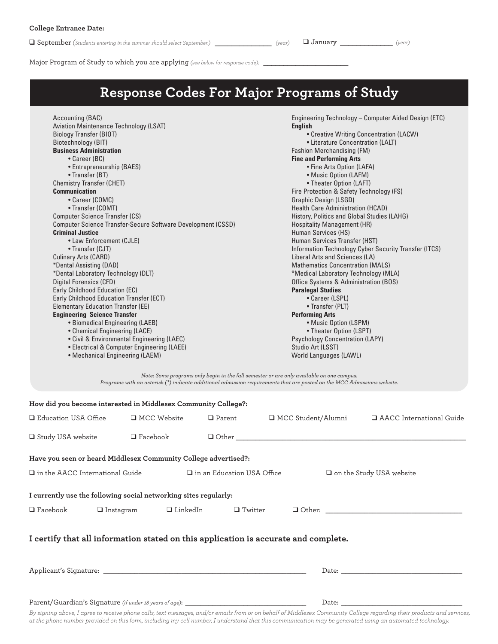$\Box$  September (*Students entering in the summer should select September.)* \_\_\_\_\_\_\_\_\_\_\_\_\_\_\_\_ (year)  $\Box$  January \_\_\_\_\_\_\_\_\_\_\_\_\_\_\_\_ (year)

| .<br>.,<br>n |
|--------------|
|--------------|

Major Program of Study to which you are applying (see below for response code): \_

# **Response Codes For Major Programs of Study**

| Accounting (BAC)                                                |                                                                                                                                                       |               |                                                                                                                                                                                                                     | Engineering Technology - Computer Aided Design (ETC)                                                                                                |  |  |
|-----------------------------------------------------------------|-------------------------------------------------------------------------------------------------------------------------------------------------------|---------------|---------------------------------------------------------------------------------------------------------------------------------------------------------------------------------------------------------------------|-----------------------------------------------------------------------------------------------------------------------------------------------------|--|--|
| Aviation Maintenance Technology (LSAT)                          |                                                                                                                                                       |               | <b>English</b>                                                                                                                                                                                                      |                                                                                                                                                     |  |  |
| <b>Biology Transfer (BIOT)</b>                                  |                                                                                                                                                       |               |                                                                                                                                                                                                                     | • Creative Writing Concentration (LACW)                                                                                                             |  |  |
| Biotechnology (BIT)                                             | <b>Business Administration</b>                                                                                                                        |               |                                                                                                                                                                                                                     | • Literature Concentration (LALT)<br>Fashion Merchandising (FM)                                                                                     |  |  |
|                                                                 |                                                                                                                                                       |               |                                                                                                                                                                                                                     |                                                                                                                                                     |  |  |
| • Career (BC)                                                   |                                                                                                                                                       |               | <b>Fine and Performing Arts</b>                                                                                                                                                                                     |                                                                                                                                                     |  |  |
| • Entrepreneurship (BAES)                                       |                                                                                                                                                       |               | • Fine Arts Option (LAFA)                                                                                                                                                                                           |                                                                                                                                                     |  |  |
| • Transfer (BT)                                                 |                                                                                                                                                       |               | • Music Option (LAFM)<br>• Theater Option (LAFT)                                                                                                                                                                    |                                                                                                                                                     |  |  |
| <b>Chemistry Transfer (CHET)</b>                                |                                                                                                                                                       |               |                                                                                                                                                                                                                     |                                                                                                                                                     |  |  |
| <b>Communication</b>                                            |                                                                                                                                                       |               | Fire Protection & Safety Technology (FS)                                                                                                                                                                            |                                                                                                                                                     |  |  |
| • Career (COMC)                                                 |                                                                                                                                                       |               | <b>Graphic Design (LSGD)</b>                                                                                                                                                                                        |                                                                                                                                                     |  |  |
| • Transfer (COMT)                                               |                                                                                                                                                       |               | <b>Health Care Administration (HCAD)</b>                                                                                                                                                                            |                                                                                                                                                     |  |  |
| <b>Computer Science Transfer (CS)</b>                           |                                                                                                                                                       |               | History, Politics and Global Studies (LAHG)                                                                                                                                                                         |                                                                                                                                                     |  |  |
|                                                                 | Computer Science Transfer-Secure Software Development (CSSD)                                                                                          |               |                                                                                                                                                                                                                     | <b>Hospitality Management (HR)</b><br>Human Services (HS)<br>Human Services Transfer (HST)<br>Information Technology Cyber Security Transfer (ITCS) |  |  |
| <b>Criminal Justice</b>                                         |                                                                                                                                                       |               |                                                                                                                                                                                                                     |                                                                                                                                                     |  |  |
| • Law Enforcement (CJLE)                                        |                                                                                                                                                       |               |                                                                                                                                                                                                                     |                                                                                                                                                     |  |  |
|                                                                 | • Transfer (CJT)                                                                                                                                      |               |                                                                                                                                                                                                                     |                                                                                                                                                     |  |  |
| Culinary Arts (CARD)                                            |                                                                                                                                                       |               | Liberal Arts and Sciences (LA)                                                                                                                                                                                      |                                                                                                                                                     |  |  |
|                                                                 | *Dental Assisting (DAD)<br>*Dental Laboratory Technology (DLT)                                                                                        |               |                                                                                                                                                                                                                     | <b>Mathematics Concentration (MALS)</b>                                                                                                             |  |  |
|                                                                 |                                                                                                                                                       |               |                                                                                                                                                                                                                     | *Medical Laboratory Technology (MLA)                                                                                                                |  |  |
| Digital Forensics (CFD)                                         |                                                                                                                                                       |               | Office Systems & Administration (BOS)                                                                                                                                                                               |                                                                                                                                                     |  |  |
| Early Childhood Education (EC)                                  |                                                                                                                                                       |               | <b>Paralegal Studies</b><br>• Career (LSPL)<br>• Transfer (PLT)                                                                                                                                                     |                                                                                                                                                     |  |  |
| Early Childhood Education Transfer (ECT)                        |                                                                                                                                                       |               |                                                                                                                                                                                                                     |                                                                                                                                                     |  |  |
| <b>Elementary Education Transfer (EE)</b>                       |                                                                                                                                                       |               |                                                                                                                                                                                                                     |                                                                                                                                                     |  |  |
|                                                                 |                                                                                                                                                       |               | <b>Performing Arts</b>                                                                                                                                                                                              |                                                                                                                                                     |  |  |
|                                                                 | <b>Engineering Science Transfer</b><br>• Biomedical Engineering (LAEB)<br>• Chemical Engineering (LACE)<br>• Civil & Environmental Engineering (LAEC) |               |                                                                                                                                                                                                                     | • Music Option (LSPM)<br>• Theater Option (LSPT)<br><b>Psychology Concentration (LAPY)</b>                                                          |  |  |
|                                                                 |                                                                                                                                                       |               |                                                                                                                                                                                                                     |                                                                                                                                                     |  |  |
|                                                                 |                                                                                                                                                       |               |                                                                                                                                                                                                                     |                                                                                                                                                     |  |  |
| • Electrical & Computer Engineering (LAEE)                      |                                                                                                                                                       |               | Studio Art (LSST)                                                                                                                                                                                                   |                                                                                                                                                     |  |  |
|                                                                 | • Mechanical Engineering (LAEM)                                                                                                                       |               |                                                                                                                                                                                                                     | World Languages (LAWL)                                                                                                                              |  |  |
|                                                                 |                                                                                                                                                       |               |                                                                                                                                                                                                                     |                                                                                                                                                     |  |  |
|                                                                 |                                                                                                                                                       |               | Note: Some programs only begin in the fall semester or are only available on one campus.<br>Programs with an asterisk (*) indicate additional admission requirements that are posted on the MCC Admissions website. |                                                                                                                                                     |  |  |
| How did you become interested in Middlesex Community College?:  |                                                                                                                                                       |               |                                                                                                                                                                                                                     |                                                                                                                                                     |  |  |
| Education USA Office                                            | <b>I</b> MCC Website                                                                                                                                  | $\Box$ Parent | □ MCC Student/Alumni                                                                                                                                                                                                | AACC International Guide                                                                                                                            |  |  |
|                                                                 |                                                                                                                                                       |               |                                                                                                                                                                                                                     |                                                                                                                                                     |  |  |
| Study USA website                                               | $\Box$ Facebook                                                                                                                                       | $\Box$ Other  |                                                                                                                                                                                                                     |                                                                                                                                                     |  |  |
|                                                                 |                                                                                                                                                       |               |                                                                                                                                                                                                                     |                                                                                                                                                     |  |  |
| Have you seen or heard Middlesex Community College advertised?: |                                                                                                                                                       |               |                                                                                                                                                                                                                     |                                                                                                                                                     |  |  |

 $\square$  in the AACC International Guide  $\square$  in an Education USA Office  $\square$  on the Study USA website

**I currently use the following social networking sites regularly:** 

| $\sim$<br>`DOOK<br>∟ га | n c<br>. . | ıκ<br>eum | -<br>. witter | $Hh_0$<br>, Uthel . |  |
|-------------------------|------------|-----------|---------------|---------------------|--|
|-------------------------|------------|-----------|---------------|---------------------|--|

#### **I certify that all information stated on this application is accurate and complete.**

| Applicant's Signature:                                  | Date: |  |
|---------------------------------------------------------|-------|--|
|                                                         |       |  |
| Parent/Guardian's Signature (if under 18 years of age): | Date: |  |

*By signing above, I agree to receive phone calls, text messages, and/or emails from or on behalf of Middlesex Community College regarding their products and services, at the phone number provided on this form, including my cell number. I understand that this communication may be generated using an automated technology.*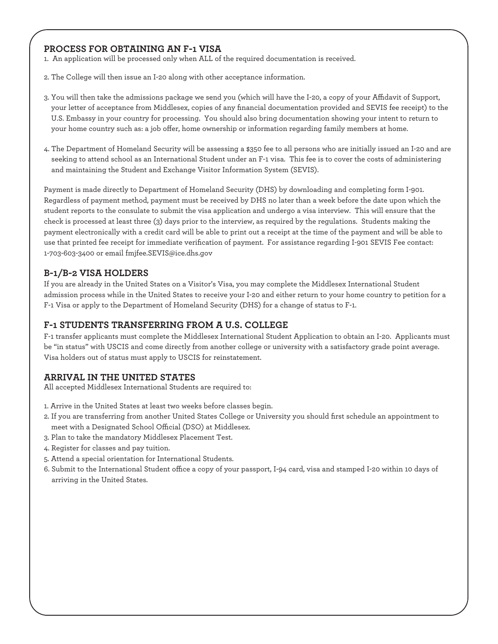# **PROCESS FOR OBTAINING AN F-1 VISA**

1. An application will be processed only when ALL of the required documentation is received.

- 2. The College will then issue an I-20 along with other acceptance information.
- 3. You will then take the admissions package we send you (which will have the I-20, a copy of your Afdavit of Support, your letter of acceptance from Middlesex, copies of any fnancial documentation provided and SEVIS fee receipt) to the U.S. Embassy in your country for processing. You should also bring documentation showing your intent to return to your home country such as: a job offer, home ownership or information regarding family members at home.
- 4. The Department of Homeland Security will be assessing a \$350 fee to all persons who are initially issued an I-20 and are seeking to attend school as an International Student under an F-1 visa. This fee is to cover the costs of administering and maintaining the Student and Exchange Visitor Information System (SEVIS).

Payment is made directly to Department of Homeland Security (DHS) by downloading and completing form I-901. Regardless of payment method, payment must be received by DHS no later than a week before the date upon which the student reports to the consulate to submit the visa application and undergo a visa interview. This will ensure that the check is processed at least three (3) days prior to the interview, as required by the regulations. Students making the payment electronically with a credit card will be able to print out a receipt at the time of the payment and will be able to use that printed fee receipt for immediate verifcation of payment. For assistance regarding I-901 SEVIS Fee contact: 1-703-603-3400 or email [fmjfee.SEVIS@ice.dhs.gov](mailto:fmjfee.SEVIS@ice.dhs.gov)

# **B-1/B-2 VISA HOLDERS**

If you are already in the United States on a Visitor's Visa, you may complete the Middlesex International Student admission process while in the United States to receive your I-20 and either return to your home country to petition for a F-1 Visa or apply to the Department of Homeland Security (DHS) for a change of status to F-1.

### **F-1 STUDENTS TRANSFERRING FROM A U.S. COLLEGE**

F-1 transfer applicants must complete the Middlesex International Student Application to obtain an I-20. Applicants must be "in status" with USCIS and come directly from another college or university with a satisfactory grade point average. Visa holders out of status must apply to USCIS for reinstatement.

# **ARRIVAL IN THE UNITED STATES**

All accepted Middlesex International Students are required to:

- 1. Arrive in the United States at least two weeks before classes begin.
- 2. If you are transferring from another United States College or University you should frst schedule an appointment to meet with a Designated School Official (DSO) at Middlesex.
- 3. Plan to take the mandatory Middlesex Placement Test.
- 4. Register for classes and pay tuition.
- 5. Attend a special orientation for International Students.
- 6. Submit to the International Student office a copy of your passport, I-94 card, visa and stamped I-20 within 10 days of arriving in the United States.